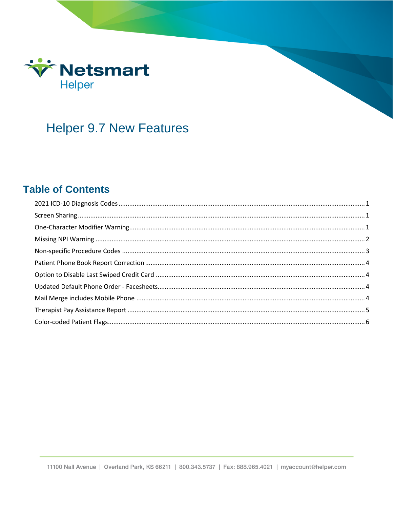

# **Helper 9.7 New Features**

### **Table of Contents**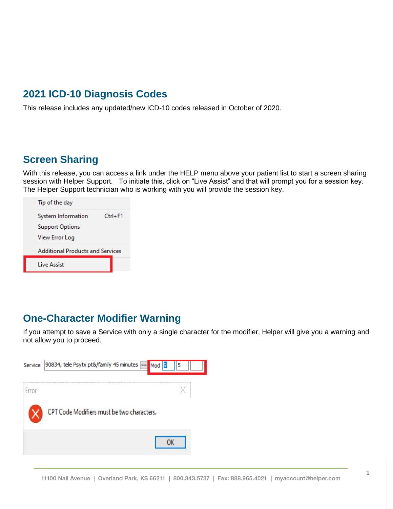### <span id="page-1-0"></span>**2021 ICD-10 Diagnosis Codes**

This release includes any updated/new ICD-10 codes released in October of 2020.

### <span id="page-1-1"></span>**Screen Sharing**

With this release, you can access a link under the HELP menu above your patient list to start a screen sharing session with Helper Support. To initiate this, click on "Live Assist" and that will prompt you for a session key. The Helper Support technician who is working with you will provide the session key.

| Tip of the day                          |             |  |  |  |
|-----------------------------------------|-------------|--|--|--|
| System Information                      | $Ctrl + F1$ |  |  |  |
| <b>Support Options</b>                  |             |  |  |  |
| View Error Log                          |             |  |  |  |
| <b>Additional Products and Services</b> |             |  |  |  |
| I ive Assist                            |             |  |  |  |
|                                         |             |  |  |  |

### <span id="page-1-2"></span>**One-Character Modifier Warning**

If you attempt to save a Service with only a single character for the modifier, Helper will give you a warning and not allow you to proceed.

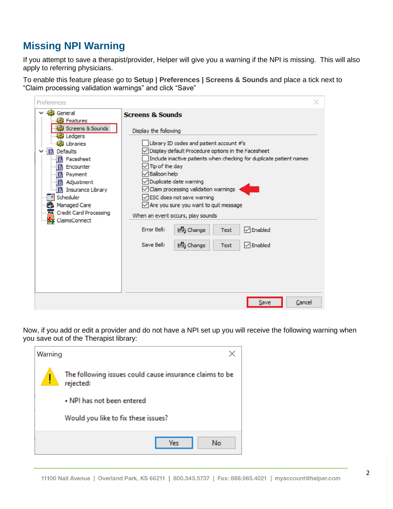# <span id="page-2-0"></span>**Missing NPI Warning**

If you attempt to save a therapist/provider, Helper will give you a warning if the NPI is missing. This will also apply to referring physicians.

To enable this feature please go to **Setup | Preferences | Screens & Sounds** and place a tick next to "Claim processing validation warnings" and click "Save"

| Preferences                                                                                                                                                                                                                                                                                      |                                                                                                                                                                                                                                                                                                                                                                                                                                                                 |                           |              |                                              | $\times$ |
|--------------------------------------------------------------------------------------------------------------------------------------------------------------------------------------------------------------------------------------------------------------------------------------------------|-----------------------------------------------------------------------------------------------------------------------------------------------------------------------------------------------------------------------------------------------------------------------------------------------------------------------------------------------------------------------------------------------------------------------------------------------------------------|---------------------------|--------------|----------------------------------------------|----------|
| General<br><b>B</b> Features<br>Screens & Sounds<br>Ledgers<br>Libraries<br>Defaults<br>椢<br><b>B</b> Facesheet<br><b>B</b> Encounter<br><b>B</b> Payment<br><b>B</b> Adjustment<br><b>B</b> Insurance Library<br>Scheduler<br>Managed Care<br><b>WG</b> Credit Card Processing<br>ClaimsConnect | <b>Screens &amp; Sounds</b><br>Display the following<br>Library ID codes and patient account #'s<br>Display default Procedure options in the Facesheet<br>Include inactive patients when checking for duplicate patient names<br>Tip of the day<br><b>Balloon help</b><br>Duplicate date warning<br>Claim processing validation warnings<br>○ ESC does not save warning<br>$\sqrt{}$ Are you sure you want to quit message<br>When an event occurs, play sounds |                           |              |                                              |          |
|                                                                                                                                                                                                                                                                                                  | <b>Error Bell:</b><br>Save Bell:                                                                                                                                                                                                                                                                                                                                                                                                                                | <b>西</b> Change<br>ehange | Test<br>Test | $\sqrt{}$ Enabled<br>$\triangledown$ Enabled |          |
|                                                                                                                                                                                                                                                                                                  |                                                                                                                                                                                                                                                                                                                                                                                                                                                                 |                           |              | Save                                         | Cancel   |

Now, if you add or edit a provider and do not have a NPI set up you will receive the following warning when you save out of the Therapist library:

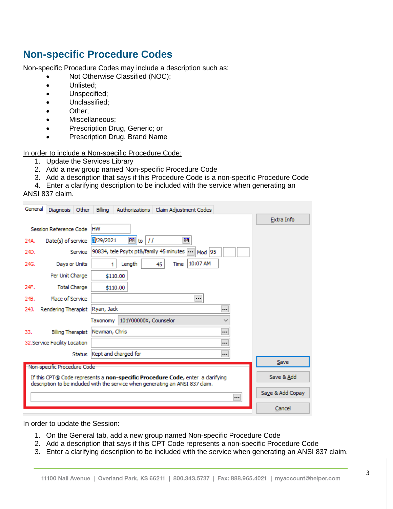### <span id="page-3-0"></span>**Non-specific Procedure Codes**

Non-specific Procedure Codes may include a description such as:

- Not Otherwise Classified (NOC);
- Unlisted;
- Unspecified;
- Unclassified;
- Other;
- Miscellaneous;
- Prescription Drug, Generic; or
- Prescription Drug, Brand Name

In order to include a Non-specific Procedure Code:

- 1. Update the Services Library
- 2. Add a new group named Non-specific Procedure Code
- 3. Add a description that says if this Procedure Code is a non-specific Procedure Code
- 4. Enter a clarifying description to be included with the service when generating an

#### ANSI 837 claim.

| General                             | Other<br><b>Diagnosis</b>                                                                                                                                        | Billing<br>Authorizations<br>Claim Adjustment Codes |                  |  |
|-------------------------------------|------------------------------------------------------------------------------------------------------------------------------------------------------------------|-----------------------------------------------------|------------------|--|
|                                     |                                                                                                                                                                  |                                                     | Extra Info       |  |
| <b>HW</b><br>Session Reference Code |                                                                                                                                                                  |                                                     |                  |  |
| 24A.                                | Date(s) of service                                                                                                                                               | $\frac{1}{22}$ to $11$<br>霦<br>8/29/2021            |                  |  |
| 24D.                                | Service                                                                                                                                                          | 90834, tele Psytx pt&/family 45 minutes  Mod  95    |                  |  |
| 24G.                                | Days or Units                                                                                                                                                    | 10:07 AM<br>Length<br>Time<br>45<br>1               |                  |  |
|                                     | Per Unit Charge                                                                                                                                                  | \$110.00                                            |                  |  |
| 24F.                                | <b>Total Charge</b>                                                                                                                                              | \$110.00                                            |                  |  |
| 24B.                                | Place of Service                                                                                                                                                 |                                                     |                  |  |
| 24J.                                | Rendering Therapist   Ryan, Jack                                                                                                                                 |                                                     |                  |  |
|                                     |                                                                                                                                                                  | 101Y00000X, Counselor<br>Taxonomy<br>$\checkmark$   |                  |  |
| 33.                                 | Billing Therapist                                                                                                                                                | <br>Newman, Chris                                   |                  |  |
|                                     | 32. Service Facility Location                                                                                                                                    |                                                     |                  |  |
|                                     | Status                                                                                                                                                           | <br>Kept and charged for                            | Save             |  |
|                                     | Non-specific Procedure Code                                                                                                                                      |                                                     |                  |  |
|                                     | If this CPT® Code represents a non-specific Procedure Code, enter a clarifying<br>description to be included with the service when generating an ANSI 837 claim. |                                                     |                  |  |
|                                     |                                                                                                                                                                  | $\cdots$                                            | Save & Add Copay |  |
|                                     |                                                                                                                                                                  |                                                     | Cancel           |  |

#### In order to update the Session:

- 1. On the General tab, add a new group named Non-specific Procedure Code
- 2. Add a description that says if this CPT Code represents a non-specific Procedure Code
- 3. Enter a clarifying description to be included with the service when generating an ANSI 837 claim.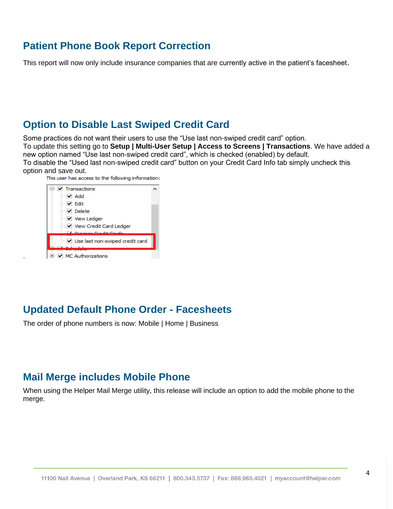### <span id="page-4-0"></span>**Patient Phone Book Report Correction**

This report will now only include insurance companies that are currently active in the patient's facesheet.

### <span id="page-4-1"></span>**Option to Disable Last Swiped Credit Card**

Some practices do not want their users to use the "Use last non-swiped credit card" option.

To update this setting go to **Setup | Multi-User Setup | Access to Screens | Transactions**. We have added a new option named "Use last non-swiped credit card", which is checked (enabled) by default.

To disable the "Used last non-swiped credit card" button on your Credit Card Info tab simply uncheck this option and save out.

This user has access to the following information:



.

### <span id="page-4-2"></span>**Updated Default Phone Order - Facesheets**

The order of phone numbers is now: Mobile | Home | Business

### <span id="page-4-3"></span>**Mail Merge includes Mobile Phone**

When using the Helper Mail Merge utility, this release will include an option to add the mobile phone to the merge.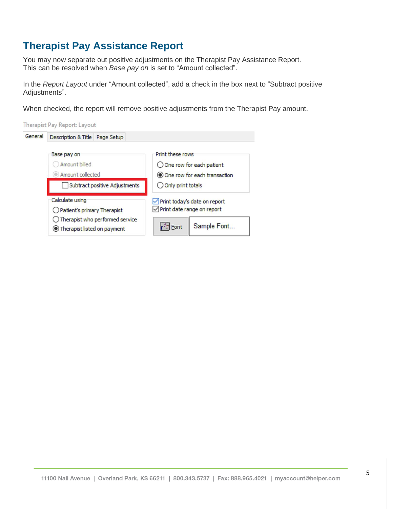# <span id="page-5-0"></span>**Therapist Pay Assistance Report**

You may now separate out positive adjustments on the Therapist Pay Assistance Report. This can be resolved when *Base pay on* is set to "Amount collected".

In the *Report Layout* under "Amount collected", add a check in the box next to "Subtract positive Adjustments".

When checked, the report will remove positive adjustments from the Therapist Pay amount.